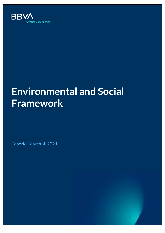

# **Environmental and Social Framework**

Madrid, March 4, 2021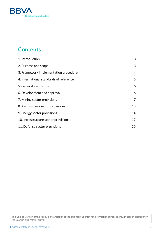

# **Contents**

| 1. Introduction                         | 3              |
|-----------------------------------------|----------------|
| 2. Purpose and scope                    | 3              |
| 3. Framework implementation procedure   | $\overline{4}$ |
| 4. International standards of reference | 5              |
| 5. General exclusions                   | 6              |
| 6. Development and approval             | 6              |
| 7. Mining sector provisions             | 7              |
| 8. Agribusiness sector provisions       | 10             |
| 9. Energy sector provisions             | 14             |
| 10. Infrastructure sector provisions    | 17             |
| 11. Defense sector provisions           | 20             |

This English version of the Policy is a translation of the original in Spanish for information purposes only. In case of discrepancy, the Spanish original will prevail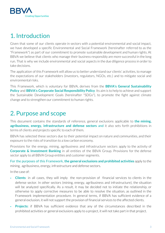

# <span id="page-2-0"></span>1. Introduction

Given that some of our clients operate in sectors with a potential environmental and social impact, we have developed a specific Environmental and Social Framework (hereinafter referred to as the "Framework") as part of our commitment to promote sustainable development and human rights. At BBVA we believe that clients who manage their business responsibly are more successful in the long run. That is why we include environmental and social aspects in the due diligence process in orderto take decisions.

The application of this Framework will allow us to better understand our clients' activities, to manage the expectations of our stakeholders (investors, regulators, NGOs, etc.) and to mitigate social and environmental risks.

This Framework, which is voluntary for BBVA, derives from the **BBVA's General [Sustainability](https://accionistaseinversores.bbva.com/wp-content/uploads/2020/10/Pol%C3%ADtica-de-Sostenibilidad-de-BBVA_esp.pdf) [Policy](https://accionistaseinversores.bbva.com/wp-content/uploads/2020/10/Pol%C3%ADtica-de-Sostenibilidad-de-BBVA_esp.pdf)** and **BBVA's Corporate Social [Responsibility](https://accionistaseinversores.bbva.com/wp-content/uploads/2019/07/Poli%CC%81tica-de-RSC_BBVA_200218.pdf) Policy**. Its aim is to help to achieve and support the Sustainable Development Goals (hereinafter "SDGs"), to promote the fight against climate change and to strengthen our commitment to human rights.

# <span id="page-2-1"></span>2. Purpose and scope

This document contains the standards of reference, general exclusions applicable to **the mining, agribusiness, energy, infrastructure and defense sectors** and it also sets forth prohibitions in terms of clients and projects specific to each of them.

BBVA has selected these sectors due to their potential impact on nature and communities, and their exposure to the risks of transition to a low carbon economy.

Provisions for the energy, mining, agribusiness and infrastructure sectors apply to the activity of **Corporate & Investment Banking** in all entities of the BBVA Group. Provisions for the defense sector apply to all BBVA Group entities and customer segments.

For the purposes of this Framework, **the general exclusions and prohibited activities** apply to the mining, agribusiness, energy, infrastructure and defense sectors.

In the case of:

- **Clients**: in all cases, they will imply the non-provision of financial services to clients in the defense sector. In other sectors (mining, energy, agribusiness and infrastructure), the situation will be analyzed specifically. As a result, it may be decided not to initiate the relationship, or otherwise to apply corrective measures to be able to resolve the situation, as outlined in the Framework implementation procedure. In general terms, if BBVA has sufficient evidence of a general exclusion, it will not support the provision of financial services to the affected clients.
- **Projects:** if BBVA has sufficient evidence that any of the circumstances described in the prohibited activities or general exclusions apply to a project, it will not take part in that project.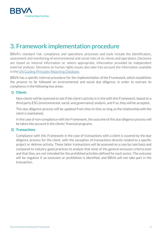

# <span id="page-3-0"></span>3. Framework implementation procedure

BBVA's standard risk, compliance and operations processes and tools include the identification, assessment and monitoring of environmental and social risks of its clients and operations. Decisions are based on internal information or, where appropriate, information provided by independent external analysts. Decisions on human rights issues also take into account the information available in the UN Guiding Principles [Reporting](https://www.ungpreporting.org/) Database.

BBVA has a specific internal procedure for the implementation of the Framework, which establishes the process to be followed on environmental and social due diligence, in order to oversee its compliance in the following two areas:

#### **1) Clients**

New clients will be assessed to see if the client's activity is in line with this Framework, based on a third party ESG (environmental, social, and governance) analysis, and if so, they will be accepted.

This due diligence process will be updated from time to time as long as the relationship with the client is maintained.

In the case of non-compliance with the Framework, the outcome of this due diligence process will be taken into account in the clients' financial programs.

#### **2) Transactions**

Compliance with this Framework in the case of transactions with a client is covered by the due diligence process for the client, with the exception of transactions directly related to a specific project or defense activity. These latter transactions will be assessed on a case by case basis and compared to industry good practices to analyze that none of the general exclusion criteria exist and that they are not intended for the prohibited activities defined for each sector. The outcome will be negative if an exclusion or prohibition is identified, and BBVA will not take part in the transaction.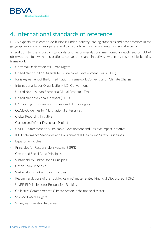

# <span id="page-4-0"></span>4. International standards of reference

BBVA expects its clients to do business under industry-leading standards and best practices in the geographies in which they operate, and particularly in the environmental and social aspects.

In addition to the industry standards and recommendations mentioned in each sector, BBVA observes the following declarations, conventions and initiatives, within its responsible banking framework:

- Universal Declaration of Human Rights
- United Nations 2030 Agenda for Sustainable Development Goals (SDG)
- Paris Agreement of the United Nations Framework Convention on Climate Change
- International Labor Organization (ILO) Conventions
- ▰ United Nations Manifesto for a Global Economic Ethic
- United Nations Global Compact (UNGC)
- UN Guiding Principles on Business and Human Rights
- OECD Guidelines for Multinational Enterprises
- Global Reporting Initiative
- Carbon and Water Disclosure Project
- ▰ UNEP FI Statement on Sustainable Development and Positive Impact Initiative
- ▰ IFC Performance Standards and Environmental, Health and Safety Guidelines
- Equator Principles
- ▰ Principles for Responsible Investment (PRI)
- ▰ Green and Social Bond Principles
- Sustainability Linked Bond Principles
- Green Loan Principles
- Sustainability Linked Loan Principles
- ▰ Recommendations of the Task Force on Climate-related Financial Disclosures (TCFD)
- UNEP-FI Principles for Responsible Banking
- ▰ Collective Commitment to Climate Action in the financial sector
- Science-Based Targets
- 2 Degrees Investing Initiative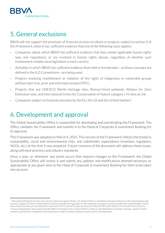

# <span id="page-5-0"></span>5. General exclusions

BBVA will not support the provision of financial services to clients or projects, subject to section 2 of this Framework, when it has sufficient evidence that one of the following cases applies:

- Companies about which BBVA has sufficient evidence that they violate applicable human rights laws and regulations, or are involved in human rights abuses, regardless of whether such involvement violates local legislation in each country.
- Activities in which BBVA has sufficient evidence that child or forced labor—as these concepts are defined in the ILO Conventions—are being used.
- ▰ Projects involving resettlement or violation of the rights of indigenous or vulnerable groups without their free, prior and informed consent (FPIC).
- ▰ Projects that put UNESCO World Heritage sites, Ramsar-listed wetlands, Alliance for Zero Extinction sites, and International Union for Conservation of Nature category I-IV sites atrisk.
- Companies subject to financial sanctions by the EU, the US and the United Nations<sup>1</sup>.

# <span id="page-5-1"></span>6. Development and approval

The Global Sustainability Office is responsible for developing and coordinating this Framework. The Office validates the Framework and submits it to the Head of Corporate & Investment Banking for its approval.

This Framework was adopted on March 4, 2021. This version of the Framework reflects the trends in sustainability, social and environmental risks, and stakeholder expectations (investors, regulators, NGOs, etc.) at the time it was prepared. Future revisions of the document will address these issues, along with best practices and industry standards.

Once a year, or whenever any event occurs that requires changes to this Framework, the Global Sustainability Office will review it and submit any updates and modifications deemed necessary or appropriate at any given time to the Head of Corporate & Investment Banking for them to be taken into account.

<sup>&</sup>lt;sup>1</sup> International financial sanctions are coercive measures against States, non-State entities or individuals that pose a threat to international peace and security. Chapter VII of the United Nations Charter provides the legal basis forthe imposition of coercive measures within the United Nations. At EU level, restrictive measures are defined as a key tool of the Common Foreign and Security Policy (CFSP) under Article 21 of the EU Treaty. The U.S. Treasury Department, and in particular the Office of Foreign Assets Control (OFAC), enforces and administers economic sanctions against certain countries, jurisdictions, individuals and institutions in orderto protect national security and U.S. foreign policy.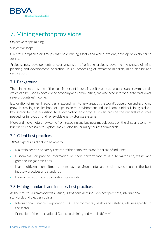

# <span id="page-6-0"></span>7. Mining sector provisions

Objective scope: mining.

Subjective scope:

Clients: Companies or groups that hold mining assets and which explore, develop or exploit such assets.

Projects: new developments and/or expansion of existing projects, covering the phases of mine planning and development, operation, in situ processing of extracted minerals, mine closure and restoration.

# 7.1. Background

The mining sector is one of the most important industries as it produces resources and raw materials which can be used to develop the economy and communities, and also accounts for a large fraction of several countries' income.

Exploration of mineral resources is expanding into new areas as the world's population and economy grow, increasing the likelihood of impacts on the environment and local communities. Mining is also a key sector for the transition to a low-carbon economy, as it can provide the mineral resources needed for innovation and renewable energy storage systems.

More and more metals now come from recycling and business models based on the circular economy, but it is still necessary to explore and develop the primary sources of minerals.

## 7.2. Client best practices

BBVA expects its clients to be able to:

- Maintain health and safety records of their employees and/or areas of influence
- Disseminate or provide information on their performance related to water use, waste and greenhouse gas emissions
- Make sufficient commitments to manage environmental and social aspects under the best industry practices and standards
- Have a transition policy towards sustainability

## 7.3. Mining standards and industry best practices

At the time this Framework was issued, BBVA considers industry best practices, international standards and treaties such as:

- International Finance Corporation (IFC) environmental, health and safety guidelines specific to the sector
- Principles of the International Council on Mining and Metals (ICMM)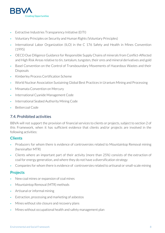

- Extractive Industries Transparency Initiative (EITI)
- ▰ Voluntary Principles on Security and Human Rights (Voluntary Principles)
- International Labor Organization (ILO) in the C 176 Safety and Health in Mines Convention (1995)
- ▰ OECD Due Diligence Guidance for Responsible Supply Chains of minerals from Conflict-Affected and High Risk Areas relative to tin, tantalum, tungsten, their ores and mineral derivatives and gold
- Basel Convention on the Control of Transboundary Movements of Hazardous Wastes and their Disposals
- ▰ Kimberley Process Certification Scheme
- World Nuclear Association Sustaining Global Best Practices in Uranium Mining and Processing
- Minamata Convention on Mercury
- International Cyanide Management Code
- International Seabed Authority Mining Code
- Bettercoal Code

### 7.4. Prohibited activities

BBVA will not support the provision of financial services to clients or projects, subject to section 2 of this Framework, when it has sufficient evidence that clients and/or projects are involved in the following activities:

### **Clients**

- Producers for whom there is evidence of controversies related to Mountaintop Removal mining (hereinafter MTR)
- ▰ Clients where an important part of their activity (more than 25%) consists of the extraction of coal for energy generation, and where they do not have a diversification strategy
- Companies for whom there is evidence of controversies related to artisanal or small-scale mining

### **Projects**

- ▰ New coal mines or expansion of coal mines
- Mountaintop Removal (MTR) methods
- Artisanal or informal mining
- Extraction, processing and marketing of asbestos
- Mines without site closure and recovery plans
- Mines without occupational health and safety management plan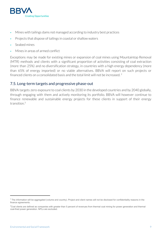

- Mines with tailings dams not managed according to industry best practices
- Projects that dispose of tailings in coastal or shallow waters
- Seabed mines
- Mines in areas of armed conflict

Exceptions may be made for existing mines or expansion of coal mines using Mountaintop Removal (MTR) methods and clients with a significant proportion of activities consisting of coal extraction (more than 25%) and no diversification strategy, in countries with a high energy dependency (more than 65% of energy imported) or no viable alternatives. BBVA will report on such projects or financed clients on a consolidated basis and the total limit will not be increased.  $^2$ 

### 7.5. Long-term targets and progressive phase-out

BBVA targets zero exposure to coal clients by 2030 in the developed countries and by 2040 globally, through engaging with them and actively monitoring its portfolio. BBVA will however continue to finance renewable and sustainable energy projects for these clients in support of their energy transition. 3

 $<sup>2</sup>$  The information will be aggregated (volume and country). Project and client names will not be disclosed for confidentiality reasons in the</sup> finance agreements.

<sup>&</sup>lt;sup>3</sup>Coal clients are defined as companies with greater than 5 percent of revenues from thermal coal mining for power generation and thermal coal-fired power generation. NPLs are excluded.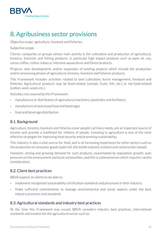

# <span id="page-9-0"></span>8. Agribusiness sector provisions

Objective scope: agriculture, livestock and fisheries.

Subjective scope:

Clients: companies or groups whose main activity is the cultivation and production of agricultural, forestry, livestock and fishing products, in particular high impact products such as palm oil, soy, cocoa, coffee, cotton, tobacco, intensive aquaculture and forest products.

Projects: new developments and/or expansion of existing projects which include the production and/or processing phases of agricultural, forestry, livestock and fisheries products.

This Framework includes activities related to land cultivation, forest management, livestock and fisheries. Agricultural products may be food-related (cereals, fruits, fish, etc.) or not food-related (cotton, wool, wood, etc.).

Activities not covered by this Framework:

- manufacture or distribution of agricultural machinery, pesticides and fertilizers;
- manufacture of processed food and beverages
- food and beverage distribution

### 8.1. Background

Agriculture, forestry, livestock and fisheries cover people's primary needs, are an important source of income and provide a livelihood for millions of people. Investing in agriculture is one of the most effective strategies for improving food security and promoting sustainability.

This industry is also a vital source for food, and is of increasing importance for other sectors such as the production of consumer goods (palm oil), the textile industry (cotton) and construction (wood).

However, strong and growing demand for such products, exacerbated by population growth, puts pressure on the environment and local communities, and this is a phenomenon which requires careful consideration.

### 8.2. Client best practices

BBVA expects its clients to be able to:

- Implement recognized sustainability certification standards and processes in their industry
- Make sufficient commitments to manage environmental and social aspects under the best industry practices and standards

### 8.3. Agricultural standards and industry best practices

At the time this Framework was issued, BBVA considers industry best practices, international standards and treaties for the agricultural sector such as: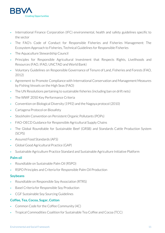

- International Finance Corporation (IFC) environmental, health and safety guidelines specific to the sector
- ▰ The FAO's Code of Conduct for Responsible Fisheries and Fisheries Management: The Ecosystem Approach to Fisheries, Technical Guidelines for Responsible Fisheries
- ▰ The Aquaculture Stewardship Council
- ▰ Principles for Responsible Agricultural Investment that Respects Rights, Livelihoods and Resources (FAO, IFAD, UNCTAD and World Bank)
- ▰ Voluntary Guidelines on Responsible Governance of Tenure of Land, Fisheries and Forests (FAO, 2012)
- Agreement to Promote Compliance with International Conservation and Management Measures by Fishing Vessels on the High Seas (FAO)
- ▰ The UN Resolutions pertaining to sustainable fisheries (including ban on drift nets)
- The WWF 2050 Key Performance Criteria
- ▰ Convention on Biological Diversity (1992) and the Nagoya protocol (2010)
- ▰ Cartagena Protocol on Biosafety
- Stockholm Convention on Persistent Organic Pollutants (POPs)
- FAO-OECD Guidance for Responsible Agricultural Supply Chains
- ▰ The Global Roundtable for Sustainable Beef (GRSB) and Standards Cattle Production System (SCPS)
- Assured Food Standards (AFS)
- ▰ Global Good Agricultural Practice (GAP)
- Sustainable Agriculture Practice Standard and Sustainable Agriculture Initiative Platform

### **Palm oil**

- ▰ Roundtable on Sustainable Palm Oil (RSPO)
- RSPO Principles and Criteria for Responsible Palm Oil Production

### **Soybeans**

- ▰ Roundtable on Responsible Soy Association (RTRS)
- Basel Criteria for Responsible Soy Production
- ▰ CGF Sustainable Soy Sourcing Guidelines

### **Coffee, Tea, Cocoa, Sugar, Cotton**

- Common Code for the Coffee Community (4C)
- ▰ Tropical Commodities Coalition for Sustainable Tea Coffee and Cocoa (TCC)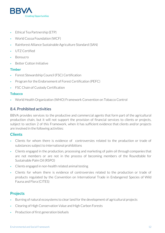

- Ethical Tea Partnership (ETP)
- World Cocoa Foundation (WCF)
- ▰ Rainforest Alliance Sustainable Agriculture Standard (SAN)
- UTZ Certified
- **Bonsucro**
- ▰ Better Cotton Initiative

### **Timber**

- ▰ Forest Stewardship Council (FSC) Certification
- Program for the Endorsement of Forest Certification (PEFC)
- FSC Chain of Custody Certification

### **Tobacco**

▰ World Health Organization (WHO) Framework Convention on Tobacco Control

### 8.4. Prohibited activities

BBVA provides services to the productive and commercial agents that form part of the agricultural production chain, but it will not support the provision of financial services to clients or projects, subject to section 2 of this Framework, when it has sufficient evidence that clients and/or projects are involved in the following activities:

### **Clients**

- Clients for whom there is evidence of controversies related to the production or trade of substances subject to international prohibitions
- ▰ Clients engaged in the production, processing and marketing of palm oil through companies that are not members or are not in the process of becoming members of the Roundtable for Sustainable Palm Oil (RSPO)
- ▰ Clients engaged in non-health related animal testing
- Clients for whom there is evidence of controversies related to the production or trade of products regulated by the Convention on International Trade in Endangered Species of Wild Fauna and Flora (CITES)

### **Projects**

- Burning of natural ecosystems to clear land for the development of agricultural projects
- ▰ Clearing of High Conservation Value and High Carbon Forests
- Production of first generation biofuels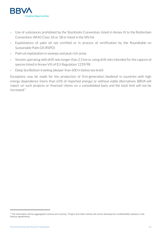

- ▰ Use of substances prohibited by the Stockholm Convention, listed in Annex III to the Rotterdam Convention, WHO Class 1A or 1B or listed in the SIN list
- Exploitations of palm oil not certified or in process of certification by the Roundtable on Sustainable Palm Oil (RSPO)
- Palm oil exploitation in swamps and peat-rich areas
- Vessels operating with drift nets longer than 2.5 km or using drift nets intended for the capture of species listed in Annex VIII of EU Regulation 1239/98
- Deep Sea Bottom trawling (deeper than 600 m below sea level)

Exceptions may be made for the production of first-generation biodiesel in countries with high energy dependence (more than 65% of imported energy) or without viable alternatives. BBVA will report on such projects or financed clients on a consolidated basis and the total limit will not be increased. 4

<sup>&</sup>lt;sup>4</sup> The information will be aggregated (volume and country). Project and client names will not be disclosed for confidentiality reasons in the finance agreements.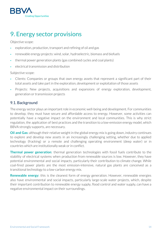

# <span id="page-13-0"></span>9. Energy sector provisions

Objective scope:

- exploration, production, transport and refining of oil and gas
- ▰ renewable energy projects: wind, solar, hydroelectric, biomass and biofuels
- ▰ thermal power generation plants (gas combined cycles and coal plants)
- electrical transmission and distribution

Subjective scope:

- ▰ Clients: Companies or groups that own energy assets that represent a significant part of their total assets and take part in the exploration, development or exploitation of those assets
- Projects: New projects, acquisitions and expansions of energy exploration, development, generation or transmission projects

### 9.1. Background

The energy sector plays an important role in economic well-being and development. For communities to develop, they must have secure and affordable access to energy. However, some activities can potentially have a negative impact on the environment and local communities. This is why strict regulation, the application of best practices and the transition to a low-emission energy model, which BBVA strongly supports, are necessary.

**Oil and Gas:** although their relative weight in the global energy mix is going down, industry continues to explore and develop new assets in an increasingly challenging setting, whether due to applied technology (fracking) or a remote and challenging operating environment (deep water) or in countries which are institutionally weak or in conflict.

**Thermal power generation**: thermal generation technologies with fossil fuels contribute to the stability of electrical systems when production from renewable sources is low. However, they have potential environmental and social impacts, particularly their contribution to climate change. While coal-fired power plants are the most emission-intensive, natural gas plants are conceived as a transitional technology to a low-carbon energy mix.

**Renewable energy:** this is the cleanest form of energy generation. However, renewable energies also have environmental and social impacts, particularly large-scale water projects, which, despite their important contribution to renewable energy supply, flood control and water supply, can have a negative environmental impact on their surroundings.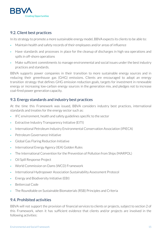

### 9.2. Client best practices

In its strategy to promote a more sustainable energy model, BBVA expects its clients to be able to:

- Maintain health and safety records of their employees and/or areas of influence
- Have standards and processes in place for the cleanup of discharges in high sea operations and spills in off-shore operations
- Make sufficient commitments to manage environmental and social issues under the best industry practices and standards.

BBVA supports power companies in their transition to more sustainable energy sources and in reducing their greenhouse gas (GHG) emissions. Clients are encouraged to adopt an energy transition strategy that defines GHG emission reduction goals, targets for investment in renewable energy or increasing low-carbon energy sources in the generation mix, and pledges not to increase coal-fired power generation capacity.

### 9.3. Energy standards and industry best practices

At the time this Framework was issued, BBVA considers industry best practices, international standards and treaties for the energy sector such as:

- IFC environment, health and safety guidelines specific to the sector
- Extractive Industry Transparency Initiative (EITI)
- ▰ International Petroleum Industry Environmental Conservation Association (IPIECA)
- Petroleum Governance Initiative
- ▰ Global Gas Flaring Reduction Initiative
- International Energy Agency (IEA) Golden Rules
- The International Convention for the Prevention of Pollution from Ships (MARPOL)
- ▰ Oil Spill Response Project
- World Commission on Dams (WCD) Framework
- ▰ International Hydropower Association Sustainability Assessment Protocol
- Energy and Biodiversity Initiative (EBI)
- Bettercoal Code
- ▰ The Roundtable on Sustainable Biomaterials (RSB) Principles and Criteria

### 9.4. Prohibited activities

BBVA will not support the provision of financial services to clients or projects, subject to section 2 of this Framework, when it has sufficient evidence that clients and/or projects are involved in the following activities: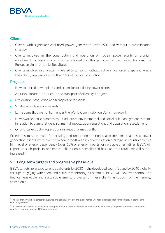

# **Clients**

- ▰ Clients with significant coal-fired power generation (over 25%) and without a diversification strategy
- Clients involved in the construction and operation of nuclear power plants or uranium enrichment facilities in countries sanctioned for this purpose by the United Nations, the European Union or the United States
- Clients involved in any activity related to tar sands without a diversification strategy and where this activity represents more than 10% of its total production

## **Projects**

- New coal-fired power plants and expansion of existing power plants
- Arctic exploration, production and transport of oil and gas projects
- Exploration, production and transport of tar sands
- Single hull oil transport vessels
- Large dams that are not built under the World Commission on Dams framework
- New hydroelectric plants without adequate environmental and social risk management systems in relation to dam safety, environmental impact, labor regulations and population resettlement.
- ▰ Oil and gas extraction operations in areas of armed conflict

Exceptions may be made for existing and under-construction coal plants, and coal-based power generation clients (with over 25% coal-based) with no diversification strategy, in countries with a high level of energy dependency (over 65% of energy imports) or no viable alternatives. BBVA will report on such projects or financed clients on a consolidated basis and the total limit will not be increased. 5

### 9.5. Long-term targets and progressive phase-out

BBVA targets zero exposure to coal clients by 2030 in the developed countries and by 2040 globally, through engaging with them and actively monitoring its portfolio. BBVA will however continue to finance renewable and sustainable energy projects for these clients in support of their energy transition. 6

<span id="page-15-0"></span><sup>&</sup>lt;sup>5</sup> The information will be aggregated (volume and country). Project and client names will not be disclosed for confidentiality reasons in the finance agreements.

<sup>&</sup>lt;sup>6</sup>Coal clients are defined as companies with greater than 5 percent of revenues from thermal coal mining for power generation and thermal coal-fired power generation. NPLs are excluded.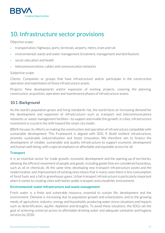

# 10. Infrastructure sector provisions

Objective scope:

- ▰ transportation: highways, ports, terminals, airports, metro, tram and rail
- ▰ environmental: waste and water management (treatment, management and distribution)
- social: education and health
- ▰ telecommunications: cables and communication networks

#### Subjective scope:

Clients: Companies or groups that have infrastructure and/or participate in the construction operation and exploitation of those infrastructure assets.

Projects: New developments and/or expansion of existing projects, covering the planning, construction, acquisition, operation and maintenance phases of infrastructure assets.

### 10.1. Background

As the world's population grows and living standards rise, the world faces an increasing demand for the development and expansion of infrastructure—such as transport and telecommunications networks or waste management facilities—to support and enable this growth. In cities, infrastructure investment is crucial in the shift toward the smart city model.

BBVA focuses its efforts on making the construction and operation of infrastructure compatible with sustainable development. This Framework is aligned with SDG 9: Build resilient infrastructure, promote sustainable industrialization and foster innovation. We therefore aim to finance the development of reliable, sustainable and quality infrastructure to support economic development and human well-being, with a special emphasis on affordable and equitable access for all.

### **Transport**

It is an essential sector for trade growth, economic development and the opening up of territories, allowing the efficient movement of people and goods, including goods that are considered hazardous, such as oil or chemicals. At the same time, developing new transport infrastructure assets and the modernization and improvement of existing ones means that in many cases there is less consumption of fossil fuels and a fall in greenhouse gases. Urban transport infrastructure is particularly important when it comes to creating cities with better public transport and a healthier environment.

### **Environmental: water infrastructure and waste management**

Fresh water is a finite and vulnerable resource, essential to sustain life, development and the environment. Demand is increasing due to population growth and urbanization, and to the growing needs of agriculture, industry, energy and households, producing water stress situations and impacts such as desertification, aquifer depletion and droughts. To avoid these situations, the SDGs set the goal of achieving universal access to affordable drinking water and adequate sanitation and hygiene services by 2030.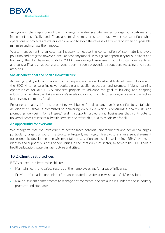

Recognizing the magnitude of the challenge of water scarcity, we encourage our customers to implement technically and financially feasible measures to reduce water consumption when operations or projects are waterintensive, and to avoid the release of effluents or, when not possible, minimize and manage their impact.

Waste management is an essential industry to reduce the consumption of raw materials, avoid pollution and progress toward a circular economy model. In this great opportunity for our planet and humanity, the SDG have set goals for 2030 to encourage businesses to adopt sustainable practices, and to significantly reduce waste generation through prevention, reduction, recycling and reuse activities.

#### **Social: educational and health infrastructure**

Achieving quality education is key to improve people's lives and sustainable development. In line with the SDG 4 to "ensure inclusive, equitable and quality education and promote lifelong learning opportunities for all," BBVA supports projects to advance the goal of building and adapting educational facilities that take everyone's needs into account and to offer safe, inclusive and effective learning environments for all.

Ensuring a healthy life and promoting well-being for all at any age is essential to sustainable development. BBVA is committed to delivering on SDG 3, which is "ensuring a healthy life and promoting well-being for all ages," and it supports projects and businesses that contribute to universal access to essential health services and affordable, quality medicines for all.

#### **An opportunity for everyone**

We recognize that the infrastructure sector faces potential environmental and social challenges, particularly large transport infrastructure. Properly managed, infrastructure is an essential element for economic development, environmental conservation and social well-being. BBVA works to identify and support business opportunities in the infrastructure sector, to achieve the SDG goals in health, education, water, infrastructure and cities.

### 10.2. Client best practices

BBVA expects its clients to be able to:

- Maintain health and safety records of their employees and/or areas of influence.
- Provide information on their performance related to water use, waste and GHG emissions
- Make sufficient commitments to manage environmental and social issues under the best industry practices and standards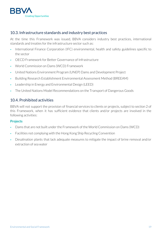

### 10.3. Infrastructure standards and industry best practices

At the time this Framework was issued, BBVA considers industry best practices, international standards and treaties for the infrastructure sector such as:

- International Finance Corporation (IFC) environmental, health and safety guidelines specific to the sector
- OECD Framework for Better Governance of Infrastructure
- World Commission on Dams (WCD) Framework
- ▰ United Nations Environment Program (UNEP) Dams and Development Project
- Building Research Establishment Environmental Assessment Method (BREEAM)
- Leadership in Energy and Environmental Design (LEED)
- ▰ The United Nations Model Recommendations on the Transport of Dangerous Goods

### 10.4. Prohibited activities

BBVA will not support the provision of financial services to clients or projects, subject to section 2 of this Framework, when it has sufficient evidence that clients and/or projects are involved in the following activities:

### **Projects**

- Dams that are not built under the Framework of the World Commission on Dams (WCD)
- ▰ Facilities not complying with the Hong Kong Ship Recycling Convention
- Desalination plants that lack adequate measures to mitigate the impact of brine removal and/or extraction of sea water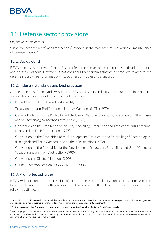

# <span id="page-19-0"></span>11. Defense sector provisions

Objective scope: defense

Subjective scope: clients<sup>7</sup> and transactions<sup>8</sup> involved in the manufacture, marketing or maintenance of defense material<sup>9</sup>.

## 11.1. Background

BBVA recognizes the right of countries to defend themselves and consequently to develop, produce and possess weapons. However, BBVA considers that certain activities or products related to the defense industry are not aligned with its business principles and standards.

## 11.2. Industry standards and best practices

At the time this Framework was issued, BBVA considers industry best practices, international standards and treaties for the defense sector such as:

- United Nations Arms Trade Treaty (2014)
- ▰ Treaty on the Non-Proliferation of Nuclear Weapons (NPT) (1970)
- Geneva Protocol for the Prohibition of the Use in War of Asphyxiating, Poisonous or Other Gases and of Bacteriological Methods of Warfare (1925)
- ▰ Convention on the Prohibition of the Use, Stockpiling, Production and Transfer of Anti-Personnel Mines and on Their Destruction (1997)
- ▰ Convention on the Prohibition of the Development, Production and Stockpiling of Bacteriological (Biological) and Toxin Weapons and on their Destruction (1972)
- ▰ Convention on the Prohibition of the Development, Production, Stockpiling and Use of Chemical Weapons and on Their Destruction (1993)
- ▰ Convention on Cluster Munitions (2008)
- ▰ Council Common Position 2008/944/CFSP (2008)

## 11.3. Prohibited activities

BBVA will not support the provision of financial services to clients, subject to section 2 of this Framework, when it has sufficient evidence that clients or their transactions are involved in the following activities:

 $^7$  In relation to this Framework, clients will be considered to be defense and security companies, or any company, institution, state agency or organization involved in the manufacture, trade or maintenance of defense and security equipment.

 $8$  For the purposes of this Framework, transactions cover any transaction involving clients and/or defense material.

 $9$  For the purposes of this Framework, defense material will be understood to be any material defined by the United Nations and the European Commission as a conventional weapon (including components, ammunition, spare parts, operation and maintenance) and dual-use materials (for civilian use that may be applied to military use).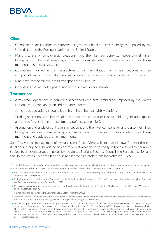

# **Clients**

- ▰ Companies that sell arms to countries or groups subject to arms embargoes imposed by the United Nations, the European Union or the United States.
- Manufacturers of controversial weapons<sup>10</sup> and their key components: anti-personnel mines, biological and chemical weapons, cluster munitions, depleted uranium and white phosphorus munitions and nuclear weapons.
- Companies involved in the manufacture or commercialization of nuclear weapons or their components in countries that are not signatories or in breach of the Non-Proliferation Treaty.
- Manufacturers of military assault weapons for civilian use.
- Companies that are not in possession of the relevant export license.

## **Transactions**

- Arms trade operations in countries sanctioned with arms embargoes imposed by the United Nations, the European Union and the United States.
- Arms trade operations in countries at high risk of human rights violations.
- ▰ Trading operations with intermediaries or where the end user is not a public organization (police and armed forces, defense departments, defense companies).
- Production and trade of controversial weapons and their key components: anti-personnel mines, biological weapons, chemical weapons, cluster munitions, nuclear munitions, white phosphorus munitions and depleted uranium munitions.

Specifically in the management of own and client funds, BBVA will not invest its own funds orthose of its clients in any activity related to controversial weapons or directly in bonds issued by countries subject to arms embargoes imposed by the United Nations Security Council, the European Union and the United States. This prohibition also applies to third-party funds marketed by BBVA.

- Chemical weapons: as defined in the Convention on the Prohibition of the Development, Production, Stockpiling and Use of Chemical Weapons and on Their Destruction (1993);
- Cluster weapons: as defined in the Convention on Cluster Munitions (2008):
- Depleted uranium and white phosphorus munitions: as defined by the independent external adviser which prepares defense exclusion lists for BBVA, in the absence of international agreements and legal frameworks governing their use.

<sup>&</sup>lt;sup>10</sup> In the definition of controversial weapons (anti-personnel mines, biological weapons, chemical weapons, cluster weapons, nuclear weapons, depleted uranium munitions and white phosphorus munitions), BBVA applies the criteria of the following international conventions:

<sup>●</sup> Anti-personnel mines: as defined in the convention on the Prohibition of the Use, Stockpiling, Production and Transfer of Anti-Personnel Mines and on Their Destruction (1997);

<sup>●</sup> Biological weapons: as defined in the Convention on the Prohibition of the Development, Production and Stockpiling of Bacteriological (Biological) and Toxin Weapons and on their Destruction (1972);

<sup>●</sup> Nuclear weapons: BBVA will not invest or provide financial services to companies directly involved in the development, production, testing or maintenance of nuclear weapons in countries that have not signed the Non-Proliferation Treaty (NPT) orin countries that do not comply with the NPT. Nuclear weapons are considered controversial because of the potential impact on the civilian population and their indiscriminate nature when used, but are not prohibited by international law. The NPT strictly regulates and oversees the ownership, production, proliferation and use of nuclear weapons. As part of this treaty, it is accepted that China, France, Russia, the United Kingdom and the United States may produce and possess nuclear weapons.